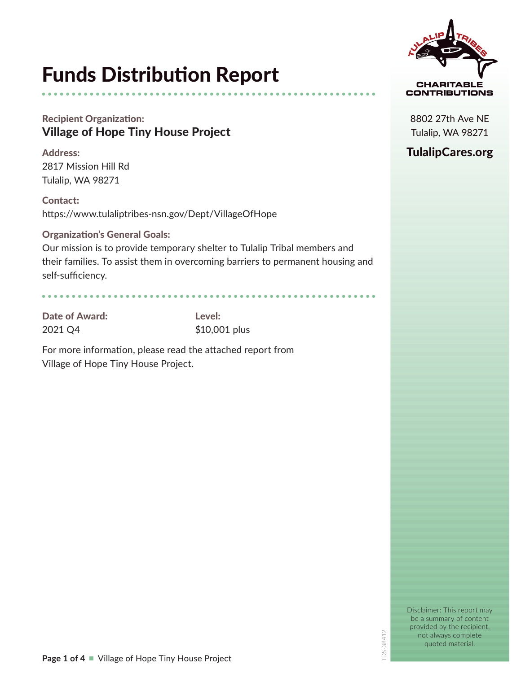# Funds Distribution Report

# Recipient Organization: Village of Hope Tiny House Project

Address: 2817 Mission Hill Rd Tulalip, WA 98271

Contact: https://www.tulaliptribes-nsn.gov/Dept/VillageOfHope

### Organization's General Goals:

Our mission is to provide temporary shelter to Tulalip Tribal members and their families. To assist them in overcoming barriers to permanent housing and self-sufficiency.

Date of Award: Level:

2021 Q4 \$10,001 plus

For more information, please read the attached report from Village of Hope Tiny House Project.



8802 27th Ave NE Tulalip, WA 98271

# TulalipCares.org

Disclaimer: This report may be a summary of content provided by the recipient, not always complete quoted material.

TDS-38412

DS-38412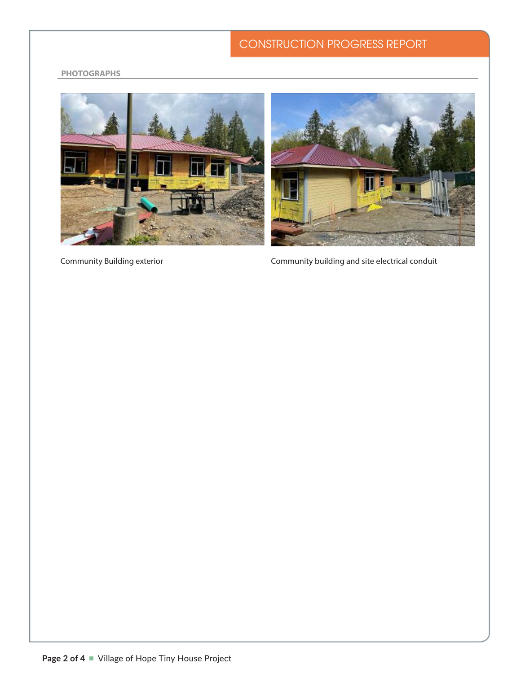#### 1.14.17 CONSTRUCTION PROGRESS REPORT plumbing and mechanical rough-in and mechanical rough-in and mechanical rough-in and mechanical rough-in and m

#### **EVERGREEN SUSTAINABLE DEVELOPMENT STANDARD (ESDS)** item No. Description Action Action Action Action Action Action Action Action Action Action Action Action Actio<br>The Date of Date of Action Action Action Action Action Action Action Action Action Action Action Action Action **PHOTOGRAPHS**





**Community Building exterior** 

Community Building exterior **Community building and site electrical conduit** Community building and site electrical conduit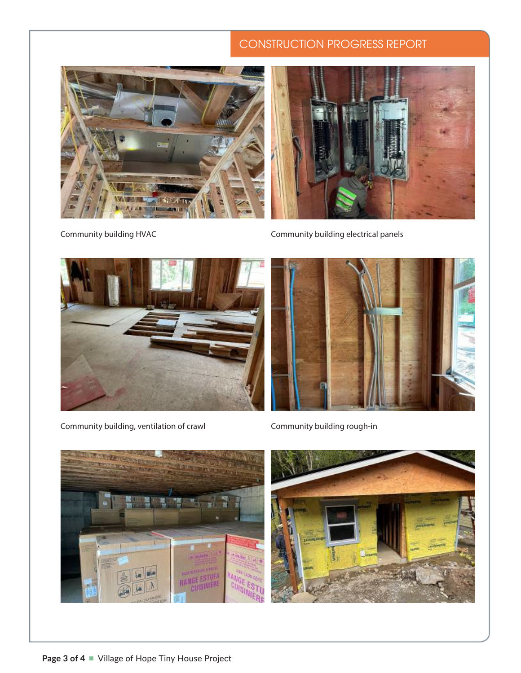# CONSTRUCTION PROGRESS REPORT





Community building HVAC Community building electrical panels



Community building, ventilation of crawl Community building rough-in